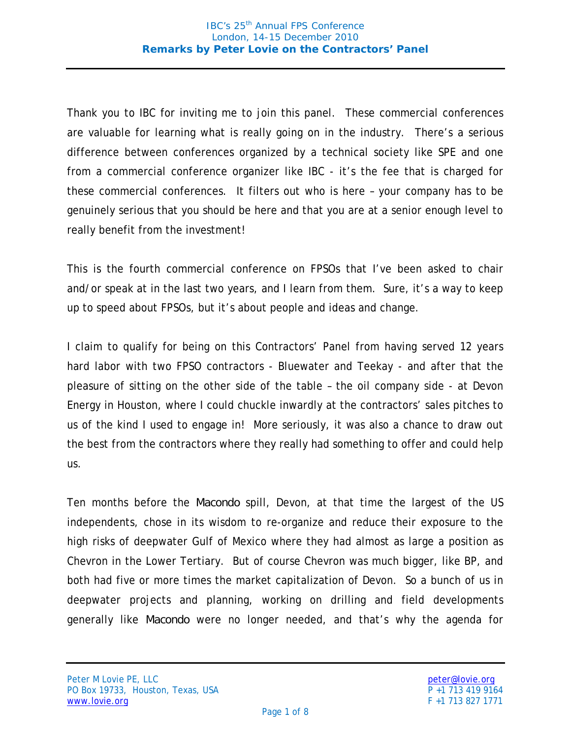Thank you to IBC for inviting me to join this panel. These commercial conferences are valuable for learning what is really going on in the industry. There's a serious difference between conferences organized by a technical society like SPE and one from a commercial conference organizer like IBC - it's the fee that is charged for these commercial conferences. It filters out who is here – your company has to be genuinely serious that you should be here and that you are at a senior enough level to really benefit from the investment!

This is the fourth commercial conference on FPSOs that I've been asked to chair and/or speak at in the last two years, and I learn from them. Sure, it's a way to keep up to speed about FPSOs, but it's about people and ideas and change.

I claim to qualify for being on this Contractors' Panel from having served 12 years hard labor with two FPSO contractors - Bluewater and Teekay - and after that the pleasure of sitting on the other side of the table – the oil company side - at Devon Energy in Houston, where I could chuckle inwardly at the contractors' sales pitches to us of the kind I used to engage in! More seriously, it was also a chance to draw out the best from the contractors where they really had something to offer and could help us.

Ten months before the *Macondo* spill, Devon, at that time the largest of the US independents, chose in its wisdom to re-organize and reduce their exposure to the high risks of deepwater Gulf of Mexico where they had almost as large a position as Chevron in the Lower Tertiary. But of course Chevron was much bigger, like BP, and both had five or more times the market capitalization of Devon. So a bunch of us in deepwater projects and planning, working on drilling and field developments generally like *Macondo* were no longer needed, and that's why the agenda for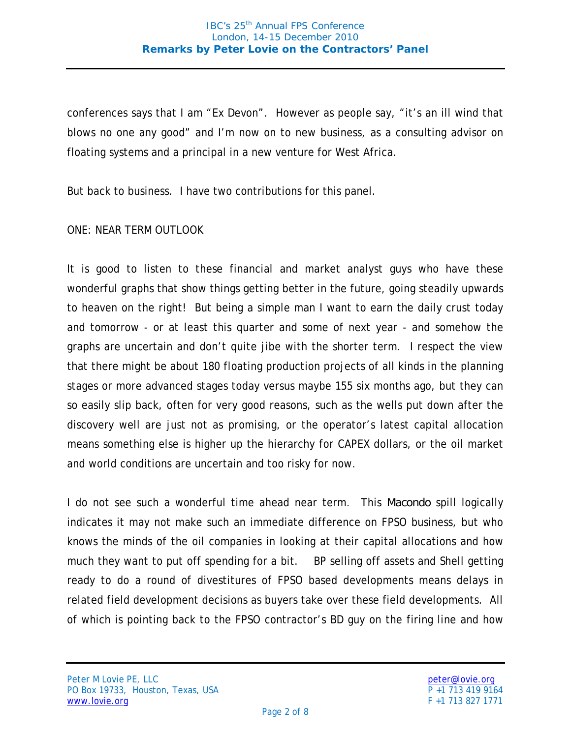conferences says that I am "Ex Devon". However as people say, "it's an ill wind that blows no one any good" and I'm now on to new business, as a consulting advisor on floating systems and a principal in a new venture for West Africa.

But back to business. I have two contributions for this panel.

## ONE: NEAR TERM OUTLOOK

It is good to listen to these financial and market analyst guys who have these wonderful graphs that show things getting better in the future, going steadily upwards to heaven on the right! But being a simple man I want to earn the daily crust today and tomorrow - or at least this quarter and some of next year - and somehow the graphs are uncertain and don't quite jibe with the shorter term. I respect the view that there might be about 180 floating production projects of all kinds in the planning stages or more advanced stages today versus maybe 155 six months ago, but they can so easily slip back, often for very good reasons, such as the wells put down after the discovery well are just not as promising, or the operator's latest capital allocation means something else is higher up the hierarchy for CAPEX dollars, or the oil market and world conditions are uncertain and too risky for now.

I do not see such a wonderful time ahead near term. This *Macondo* spill logically indicates it may not make such an immediate difference on FPSO business, but who knows the minds of the oil companies in looking at their capital allocations and how much they want to put off spending for a bit. BP selling off assets and Shell getting ready to do a round of divestitures of FPSO based developments means delays in related field development decisions as buyers take over these field developments. All of which is pointing back to the FPSO contractor's BD guy on the firing line and how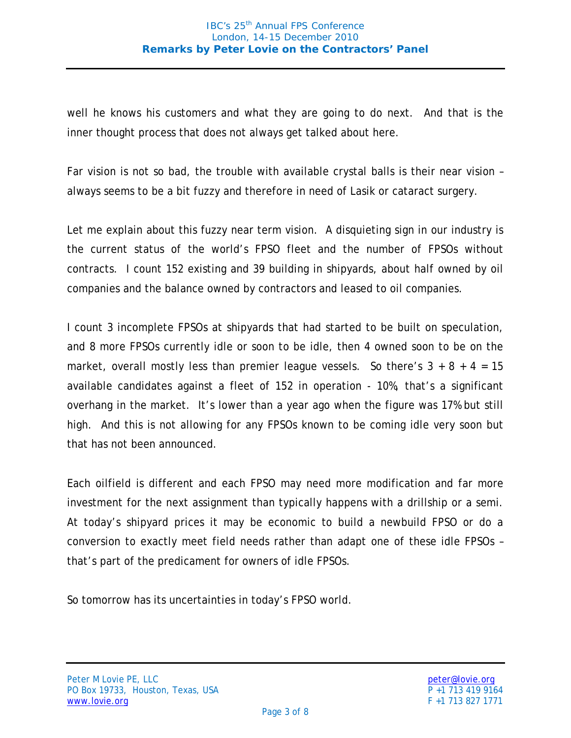well he knows his customers and what they are going to do next. And that is the inner thought process that does not always get talked about here.

Far vision is not so bad, the trouble with available crystal balls is their near vision – always seems to be a bit fuzzy and therefore in need of Lasik or cataract surgery.

Let me explain about this fuzzy near term vision. A disquieting sign in our industry is the current status of the world's FPSO fleet and the number of FPSOs without contracts. I count 152 existing and 39 building in shipyards, about half owned by oil companies and the balance owned by contractors and leased to oil companies.

I count 3 incomplete FPSOs at shipyards that had started to be built on speculation, and 8 more FPSOs currently idle or soon to be idle, then 4 owned soon to be on the market, overall mostly less than premier league vessels. So there's  $3 + 8 + 4 = 15$ available candidates against a fleet of 152 in operation - 10%, that's a significant overhang in the market. It's lower than a year ago when the figure was 17% but still high. And this is not allowing for any FPSOs known to be coming idle very soon but that has not been announced.

Each oilfield is different and each FPSO may need more modification and far more investment for the next assignment than typically happens with a drillship or a semi. At today's shipyard prices it may be economic to build a newbuild FPSO or do a conversion to exactly meet field needs rather than adapt one of these idle FPSOs – that's part of the predicament for owners of idle FPSOs.

So tomorrow has its uncertainties in today's FPSO world.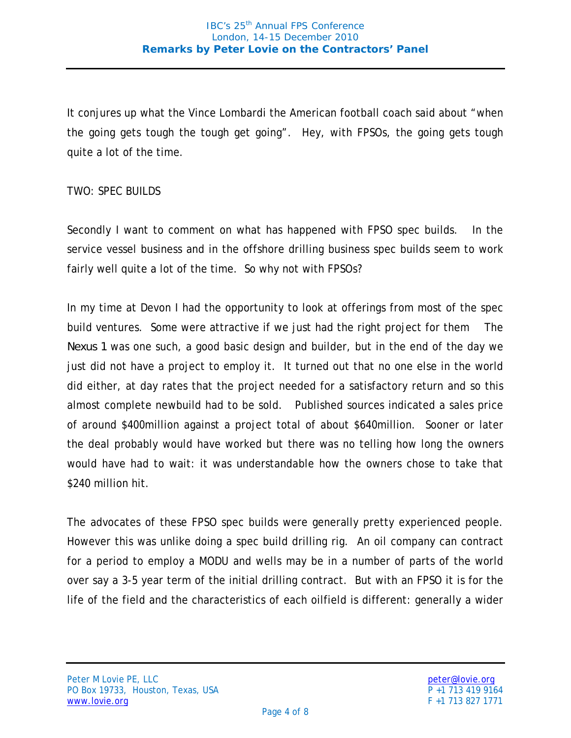It conjures up what the Vince Lombardi the American football coach said about "when the going gets tough the tough get going". Hey, with FPSOs, the going gets tough quite a lot of the time.

## TWO: SPEC BUILDS

Secondly I want to comment on what has happened with FPSO spec builds. In the service vessel business and in the offshore drilling business spec builds seem to work fairly well quite a lot of the time. So why not with FPSOs?

In my time at Devon I had the opportunity to look at offerings from most of the spec build ventures. Some were attractive if we just had the right project for them The *Nexus 1* was one such, a good basic design and builder, but in the end of the day we just did not have a project to employ it. It turned out that no one else in the world did either, at day rates that the project needed for a satisfactory return and so this almost complete newbuild had to be sold. Published sources indicated a sales price of around \$400million against a project total of about \$640million. Sooner or later the deal probably would have worked but there was no telling how long the owners would have had to wait: it was understandable how the owners chose to take that \$240 million hit.

The advocates of these FPSO spec builds were generally pretty experienced people. However this was unlike doing a spec build drilling rig. An oil company can contract for a period to employ a MODU and wells may be in a number of parts of the world over say a 3-5 year term of the initial drilling contract. But with an FPSO it is for the life of the field and the characteristics of each oilfield is different: generally a wider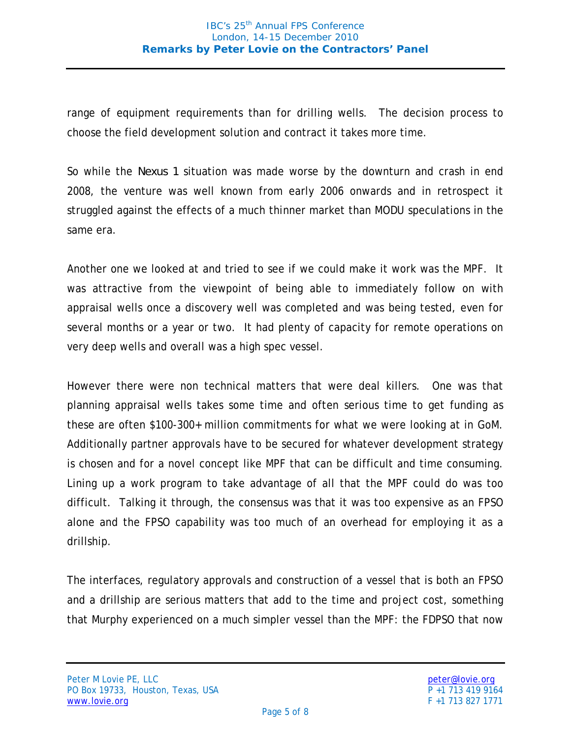range of equipment requirements than for drilling wells. The decision process to choose the field development solution and contract it takes more time.

So while the *Nexus 1* situation was made worse by the downturn and crash in end 2008, the venture was well known from early 2006 onwards and in retrospect it struggled against the effects of a much thinner market than MODU speculations in the same era.

Another one we looked at and tried to see if we could make it work was the MPF. It was attractive from the viewpoint of being able to immediately follow on with appraisal wells once a discovery well was completed and was being tested, even for several months or a year or two. It had plenty of capacity for remote operations on very deep wells and overall was a high spec vessel.

However there were non technical matters that were deal killers. One was that planning appraisal wells takes some time and often serious time to get funding as these are often \$100-300+ million commitments for what we were looking at in GoM. Additionally partner approvals have to be secured for whatever development strategy is chosen and for a novel concept like MPF that can be difficult and time consuming. Lining up a work program to take advantage of all that the MPF could do was too difficult. Talking it through, the consensus was that it was too expensive as an FPSO alone and the FPSO capability was too much of an overhead for employing it as a drillship.

The interfaces, regulatory approvals and construction of a vessel that is both an FPSO and a drillship are serious matters that add to the time and project cost, something that Murphy experienced on a much simpler vessel than the MPF: the FDPSO that now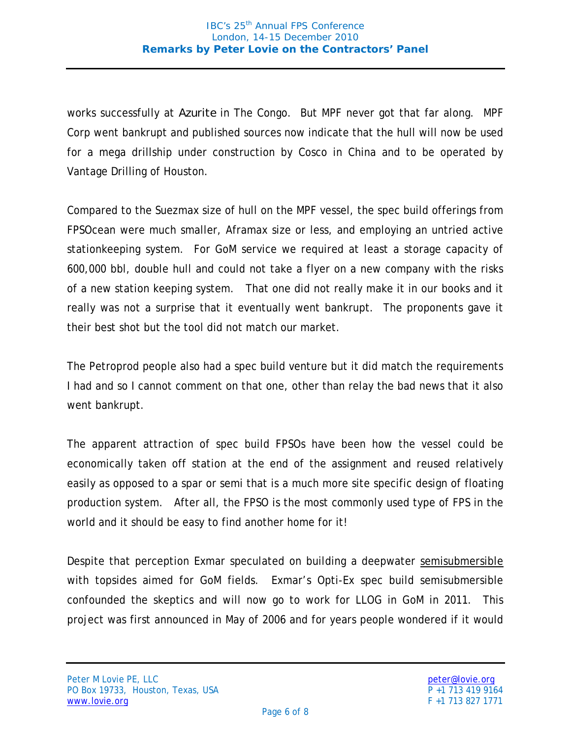works successfully at *Azurite* in The Congo. But MPF never got that far along. MPF Corp went bankrupt and published sources now indicate that the hull will now be used for a mega drillship under construction by Cosco in China and to be operated by Vantage Drilling of Houston.

Compared to the Suezmax size of hull on the MPF vessel, the spec build offerings from FPSOcean were much smaller, Aframax size or less, and employing an untried active stationkeeping system. For GoM service we required at least a storage capacity of 600,000 bbl, double hull and could not take a flyer on a new company with the risks of a new station keeping system. That one did not really make it in our books and it really was not a surprise that it eventually went bankrupt. The proponents gave it their best shot but the tool did not match our market.

The Petroprod people also had a spec build venture but it did match the requirements I had and so I cannot comment on that one, other than relay the bad news that it also went bankrupt.

The apparent attraction of spec build FPSOs have been how the vessel could be economically taken off station at the end of the assignment and reused relatively easily as opposed to a spar or semi that is a much more site specific design of floating production system. After all, the FPSO is the most commonly used type of FPS in the world and it should be easy to find another home for it!

Despite that perception Exmar speculated on building a deepwater semisubmersible with topsides aimed for GoM fields. Exmar's Opti-Ex spec build semisubmersible confounded the skeptics and will now go to work for LLOG in GoM in 2011. This project was first announced in May of 2006 and for years people wondered if it would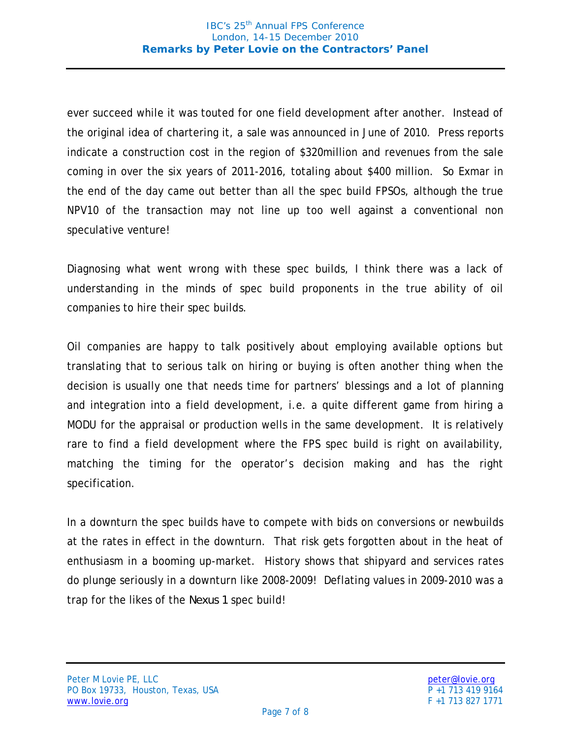ever succeed while it was touted for one field development after another. Instead of the original idea of chartering it, a sale was announced in June of 2010. Press reports indicate a construction cost in the region of \$320million and revenues from the sale coming in over the six years of 2011-2016, totaling about \$400 million. So Exmar in the end of the day came out better than all the spec build FPSOs, although the true NPV10 of the transaction may not line up too well against a conventional non speculative venture!

Diagnosing what went wrong with these spec builds, I think there was a lack of understanding in the minds of spec build proponents in the true ability of oil companies to hire their spec builds.

Oil companies are happy to talk positively about employing available options but translating that to serious talk on hiring or buying is often another thing when the decision is usually one that needs time for partners' blessings and a lot of planning and integration into a field development, i.e. a quite different game from hiring a MODU for the appraisal or production wells in the same development. It is relatively rare to find a field development where the FPS spec build is right on availability, matching the timing for the operator's decision making and has the right specification.

In a downturn the spec builds have to compete with bids on conversions or newbuilds at the rates in effect in the downturn. That risk gets forgotten about in the heat of enthusiasm in a booming up-market. History shows that shipyard and services rates do plunge seriously in a downturn like 2008-2009! Deflating values in 2009-2010 was a trap for the likes of the *Nexus 1* spec build!